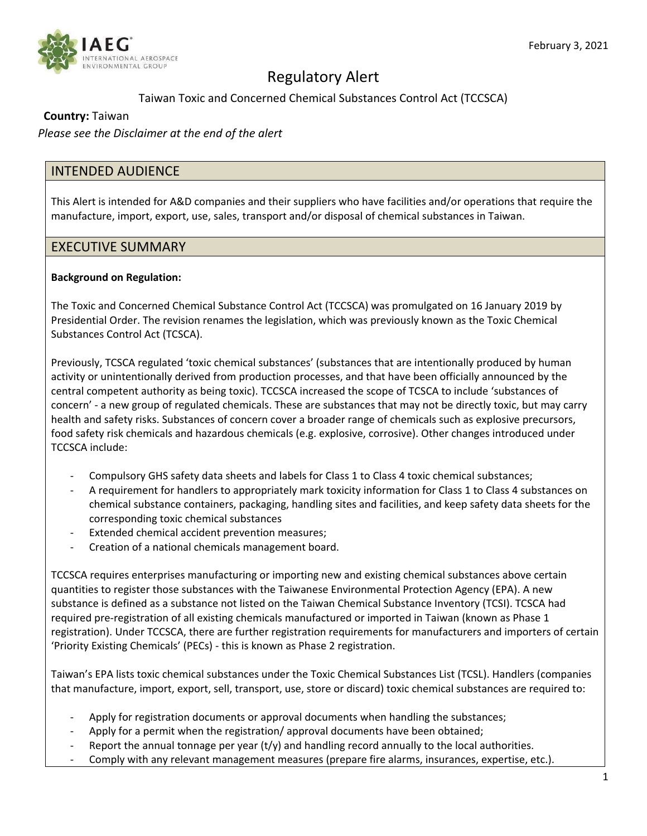

# Regulatory Alert

## Taiwan Toxic and Concerned Chemical Substances Control Act (TCCSCA)

#### **Country:** Taiwan

*Please see the Disclaimer at the end of the alert*

## INTENDED AUDIENCE

This Alert is intended for A&D companies and their suppliers who have facilities and/or operations that require the manufacture, import, export, use, sales, transport and/or disposal of chemical substances in Taiwan.

#### EXECUTIVE SUMMARY

#### **Background on Regulation:**

The Toxic and Concerned Chemical Substance Control Act (TCCSCA) was promulgated on 16 January 2019 by Presidential Order. The revision renames the legislation, which was previously known as the Toxic Chemical Substances Control Act (TCSCA).

Previously, TCSCA regulated 'toxic chemical substances' (substances that are intentionally produced by human activity or unintentionally derived from production processes, and that have been officially announced by the central competent authority as being toxic). TCCSCA increased the scope of TCSCA to include 'substances of concern' - a new group of regulated chemicals. These are substances that may not be directly toxic, but may carry health and safety risks. Substances of concern cover a broader range of chemicals such as explosive precursors, food safety risk chemicals and hazardous chemicals (e.g. explosive, corrosive). Other changes introduced under TCCSCA include:

- Compulsory GHS safety data sheets and labels for Class 1 to Class 4 toxic chemical substances;
- A requirement for handlers to appropriately mark toxicity information for Class 1 to Class 4 substances on chemical substance containers, packaging, handling sites and facilities, and keep safety data sheets for the corresponding toxic chemical substances
- Extended chemical accident prevention measures;
- Creation of a national chemicals management board.

TCCSCA requires enterprises manufacturing or importing new and existing chemical substances above certain quantities to register those substances with the Taiwanese Environmental Protection Agency (EPA). A new substance is defined as a substance not listed on the Taiwan Chemical Substance Inventory (TCSI). TCSCA had required pre-registration of all existing chemicals manufactured or imported in Taiwan (known as Phase 1 registration). Under TCCSCA, there are further registration requirements for manufacturers and importers of certain 'Priority Existing Chemicals' (PECs) - this is known as Phase 2 registration.

Taiwan's EPA lists toxic chemical substances under the Toxic Chemical Substances List (TCSL). Handlers (companies that manufacture, import, export, sell, transport, use, store or discard) toxic chemical substances are required to:

- Apply for registration documents or approval documents when handling the substances;
- Apply for a permit when the registration/approval documents have been obtained;
- Report the annual tonnage per year  $(t/y)$  and handling record annually to the local authorities.
- Comply with any relevant management measures (prepare fire alarms, insurances, expertise, etc.).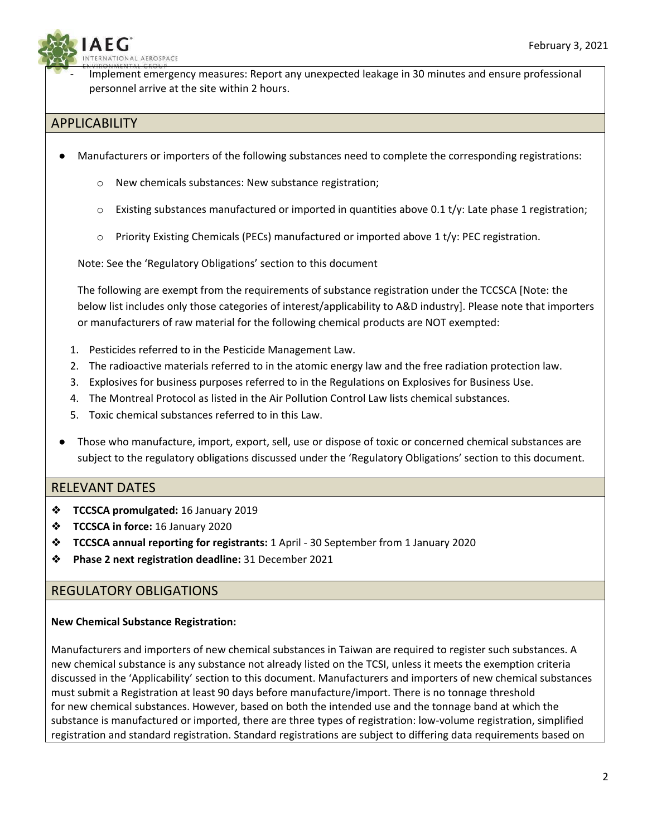**NAL AEROSPACE** 

Implement emergency measures: Report any unexpected leakage in 30 minutes and ensure professional personnel arrive at the site within 2 hours.

# APPLICABILITY

- Manufacturers or importers of the following substances need to complete the corresponding registrations:
	- o New chemicals substances: New substance registration;
	- $\circ$  Existing substances manufactured or imported in quantities above 0.1 t/y: Late phase 1 registration;
	- $\circ$  Priority Existing Chemicals (PECs) manufactured or imported above 1 t/y: PEC registration.

Note: See the 'Regulatory Obligations' section to this document

The following are exempt from the requirements of substance registration under the TCCSCA [Note: the below list includes only those categories of interest/applicability to A&D industry]. Please note that importers or manufacturers of raw material for the following chemical products are NOT exempted:

- 1. Pesticides referred to in the Pesticide Management Law.
- 2. The radioactive materials referred to in the atomic energy law and the free radiation protection law.
- 3. Explosives for business purposes referred to in the Regulations on Explosives for Business Use.
- 4. The Montreal Protocol as listed in the Air Pollution Control Law lists chemical substances.
- 5. Toxic chemical substances referred to in this Law.
- Those who manufacture, import, export, sell, use or dispose of toxic or concerned chemical substances are subject to the regulatory obligations discussed under the 'Regulatory Obligations' section to this document.

# RELEVANT DATES

- ❖ **TCCSCA promulgated:** 16 January 2019
- ❖ **TCCSCA in force:** 16 January 2020
- ❖ **TCCSCA annual reporting for registrants:** 1 April 30 September from 1 January 2020
- ❖ **Phase 2 next registration deadline:** 31 December 2021

# REGULATORY OBLIGATIONS

### **New Chemical Substance Registration:**

Manufacturers and importers of new chemical substances in Taiwan are required to register such substances. A new chemical substance is any substance not already listed on the TCSI, unless it meets the exemption criteria discussed in the 'Applicability' section to this document. Manufacturers and importers of new chemical substances must submit a Registration at least 90 days before manufacture/import. There is no tonnage threshold for new chemical substances. However, based on both the intended use and the tonnage band at which the substance is manufactured or imported, there are three types of registration: low-volume registration, simplified registration and standard registration. Standard registrations are subject to differing data requirements based on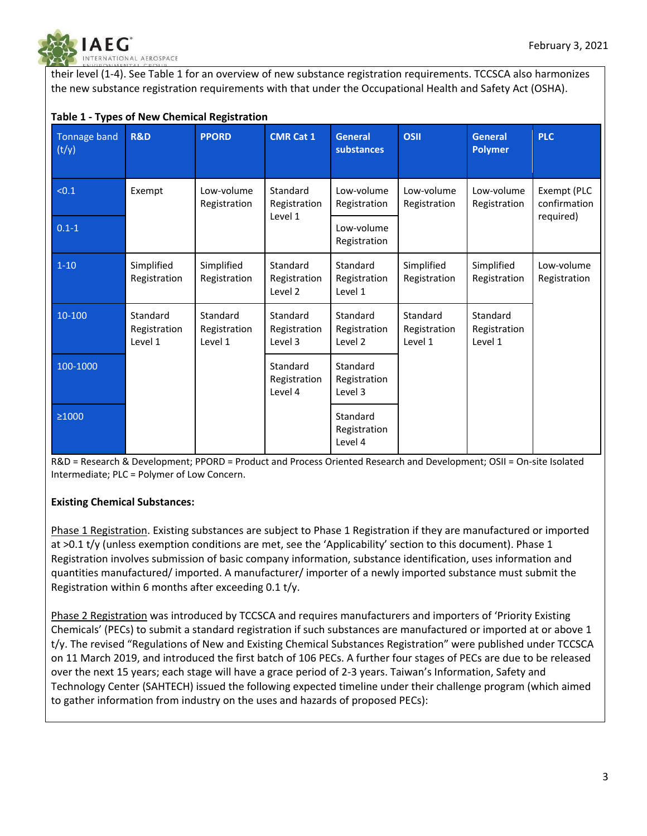

their level (1-4). See Table 1 for an overview of new substance registration requirements. TCCSCA also harmonizes the new substance registration requirements with that under the Occupational Health and Safety Act (OSHA).

| Tonnage band<br>(t/y) | <b>R&amp;D</b>                      | <b>PPORD</b>                        | <b>CMR Cat 1</b>                    | <b>General</b><br>substances        | <b>OSII</b>                         | <b>General</b><br><b>Polymer</b>    | <b>PLC</b>                               |
|-----------------------|-------------------------------------|-------------------------------------|-------------------------------------|-------------------------------------|-------------------------------------|-------------------------------------|------------------------------------------|
| < 0.1                 | Exempt                              | Low-volume<br>Registration          | Standard<br>Registration<br>Level 1 | Low-volume<br>Registration          | Low-volume<br>Registration          | Low-volume<br>Registration          | Exempt (PLC<br>confirmation<br>required) |
| $0.1 - 1$             |                                     |                                     |                                     | Low-volume<br>Registration          |                                     |                                     |                                          |
| $1 - 10$              | Simplified<br>Registration          | Simplified<br>Registration          | Standard<br>Registration<br>Level 2 | Standard<br>Registration<br>Level 1 | Simplified<br>Registration          | Simplified<br>Registration          | Low-volume<br>Registration               |
| $10 - 100$            | Standard<br>Registration<br>Level 1 | Standard<br>Registration<br>Level 1 | Standard<br>Registration<br>Level 3 | Standard<br>Registration<br>Level 2 | Standard<br>Registration<br>Level 1 | Standard<br>Registration<br>Level 1 |                                          |
| 100-1000              |                                     |                                     | Standard<br>Registration<br>Level 4 | Standard<br>Registration<br>Level 3 |                                     |                                     |                                          |
| $\geq 1000$           |                                     |                                     |                                     | Standard<br>Registration<br>Level 4 |                                     |                                     |                                          |

R&D = Research & Development; PPORD = Product and Process Oriented Research and Development; OSII = On-site Isolated Intermediate; PLC = Polymer of Low Concern.

### **Existing Chemical Substances:**

Phase 1 Registration. Existing substances are subject to Phase 1 Registration if they are manufactured or imported at >0.1 t/y (unless exemption conditions are met, see the 'Applicability' section to this document). Phase 1 Registration involves submission of basic company information, substance identification, uses information and quantities manufactured/ imported. A manufacturer/ importer of a newly imported substance must submit the Registration within 6 months after exceeding 0.1 t/y.

Phase 2 Registration was introduced by TCCSCA and requires manufacturers and importers of 'Priority Existing Chemicals' (PECs) to submit a standard registration if such substances are manufactured or imported at or above 1 t/y. The revised "Regulations of New and Existing Chemical Substances Registration" were published under TCCSCA on 11 March 2019, and introduced the first batch of 106 PECs. A further four stages of PECs are due to be released over the next 15 years; each stage will have a grace period of 2-3 years. Taiwan's Information, Safety and Technology Center (SAHTECH) issued the following expected timeline under their challenge program (which aimed to gather information from industry on the uses and hazards of proposed PECs):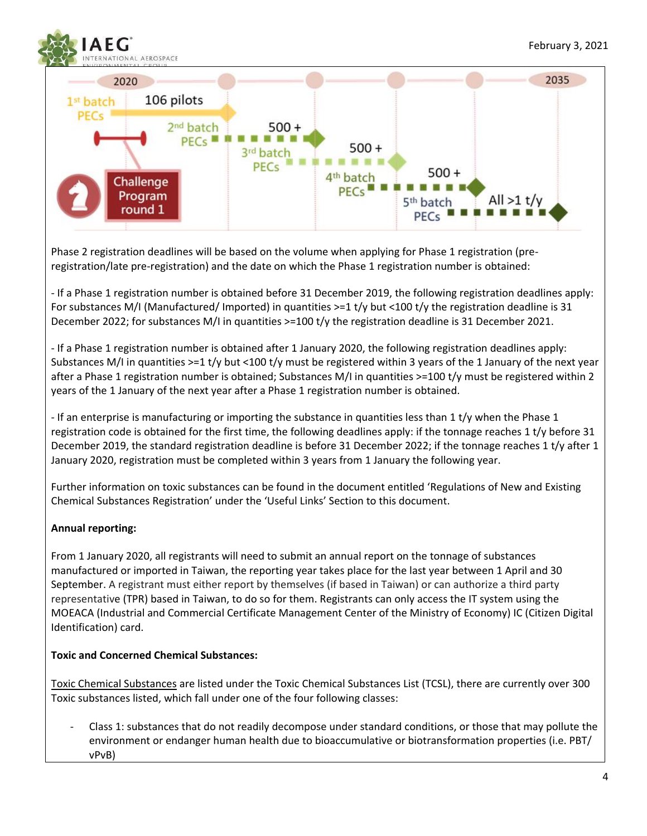

Phase 2 registration deadlines will be based on the volume when applying for Phase 1 registration (preregistration/late pre-registration) and the date on which the Phase 1 registration number is obtained:

- If a Phase 1 registration number is obtained before 31 December 2019, the following registration deadlines apply: For substances M/I (Manufactured/ Imported) in quantities >=1 t/y but <100 t/y the registration deadline is 31 December 2022; for substances M/I in quantities >=100 t/y the registration deadline is 31 December 2021.

- If a Phase 1 registration number is obtained after 1 January 2020, the following registration deadlines apply: Substances M/I in quantities  $>=1$  t/y but <100 t/y must be registered within 3 years of the 1 January of the next year after a Phase 1 registration number is obtained; Substances M/I in quantities >=100 t/y must be registered within 2 years of the 1 January of the next year after a Phase 1 registration number is obtained.

- If an enterprise is manufacturing or importing the substance in quantities less than 1 t/y when the Phase 1 registration code is obtained for the first time, the following deadlines apply: if the tonnage reaches 1 t/y before 31 December 2019, the standard registration deadline is before 31 December 2022; if the tonnage reaches 1 t/y after 1 January 2020, registration must be completed within 3 years from 1 January the following year.

Further information on toxic substances can be found in the document entitled 'Regulations of New and Existing Chemical Substances Registration' under the 'Useful Links' Section to this document.

### **Annual reporting:**

From 1 January 2020, all registrants will need to submit an annual report on the tonnage of substances manufactured or imported in Taiwan, the reporting year takes place for the last year between 1 April and 30 September. A registrant must either report by themselves (if based in Taiwan) or can authorize a third party representative (TPR) based in Taiwan, to do so for them. Registrants can only access the IT system using the MOEACA (Industrial and Commercial Certificate Management Center of the Ministry of Economy) IC (Citizen Digital Identification) card.

### **Toxic and Concerned Chemical Substances:**

Toxic Chemical Substances are listed under the Toxic Chemical Substances List (TCSL), there are currently over 300 Toxic substances listed, which fall under one of the four following classes:

Class 1: substances that do not readily decompose under standard conditions, or those that may pollute the environment or endanger human health due to bioaccumulative or biotransformation properties (i.e. PBT/ vPvB)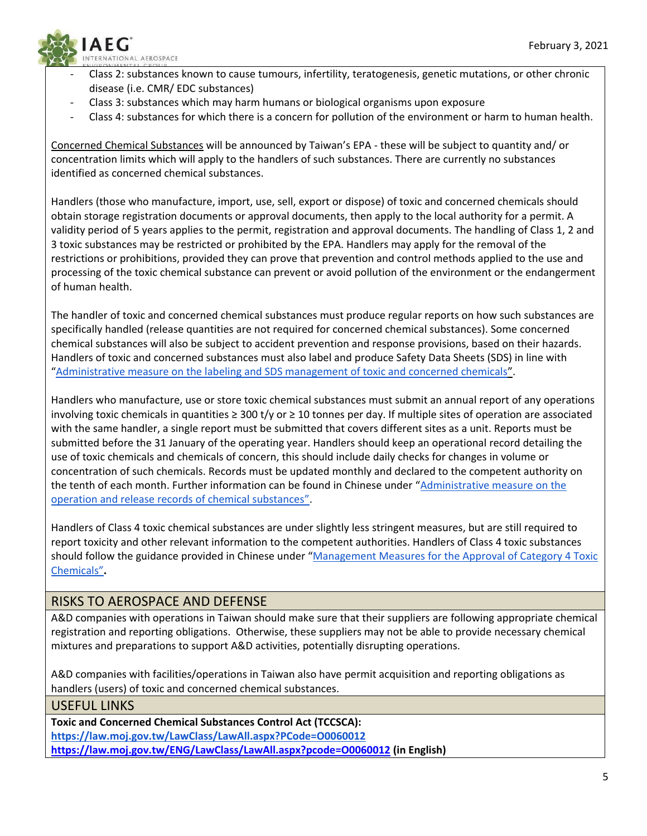

- Class 2: substances known to cause tumours, infertility, teratogenesis, genetic mutations, or other chronic disease (i.e. CMR/ EDC substances)
- Class 3: substances which may harm humans or biological organisms upon exposure
- Class 4: substances for which there is a concern for pollution of the environment or harm to human health.

Concerned Chemical Substances will be announced by Taiwan's EPA - these will be subject to quantity and/ or concentration limits which will apply to the handlers of such substances. There are currently no substances identified as concerned chemical substances.

Handlers (those who manufacture, import, use, sell, export or dispose) of toxic and concerned chemicals should obtain storage registration documents or approval documents, then apply to the local authority for a permit. A validity period of 5 years applies to the permit, registration and approval documents. The handling of Class 1, 2 and 3 toxic substances may be restricted or prohibited by the EPA. Handlers may apply for the removal of the restrictions or prohibitions, provided they can prove that prevention and control methods applied to the use and processing of the toxic chemical substance can prevent or avoid pollution of the environment or the endangerment of human health.

The handler of toxic and concerned chemical substances must produce regular reports on how such substances are specifically handled (release quantities are not required for concerned chemical substances). Some concerned chemical substances will also be subject to accident prevention and response provisions, based on their hazards. Handlers of toxic and concerned substances must also label and produce Safety Data Sheets (SDS) in line with "[Administrative measure on the labeling and SDS management of toxic and concerned chemicals](https://law.moj.gov.tw/ENG/LawClass/LawAll.aspx?pcode=O0060037)".

Handlers who manufacture, use or store toxic chemical substances must submit an annual report of any operations involving toxic chemicals in quantities  $\geq 300$  t/y or  $\geq 10$  tonnes per day. If multiple sites of operation are associated with the same handler, a single report must be submitted that covers different sites as a unit. Reports must be submitted before the 31 January of the operating year. Handlers should keep an operational record detailing the use of toxic chemicals and chemicals of concern, this should include daily checks for changes in volume or concentration of such chemicals. Records must be updated monthly and declared to the competent authority on the tenth of each month. Further information can be found in Chinese under "Administrative measure on the [operation and release records of chemical substances](https://oaout.epa.gov.tw/law/LawContent.aspx?id=FL044796)".

Handlers of Class 4 toxic chemical substances are under slightly less stringent measures, but are still required to report toxicity and other relevant information to the competent authorities. Handlers of Class 4 toxic substances should follow the guidance provided in Chinese under "[Management Measures for the Approval of Category 4 Toxic](https://www.tcsb.gov.tw/cp-23-2114-57e2c-1.html)  [Chemicals](https://www.tcsb.gov.tw/cp-23-2114-57e2c-1.html)"**.**

# RISKS TO AEROSPACE AND DEFENSE

A&D companies with operations in Taiwan should make sure that their suppliers are following appropriate chemical registration and reporting obligations. Otherwise, these suppliers may not be able to provide necessary chemical mixtures and preparations to support A&D activities, potentially disrupting operations.

A&D companies with facilities/operations in Taiwan also have permit acquisition and reporting obligations as handlers (users) of toxic and concerned chemical substances.

# USEFUL LINKS

**Toxic and Concerned Chemical Substances Control Act (TCCSCA): <https://law.moj.gov.tw/LawClass/LawAll.aspx?PCode=O0060012> <https://law.moj.gov.tw/ENG/LawClass/LawAll.aspx?pcode=O0060012> (in English)**